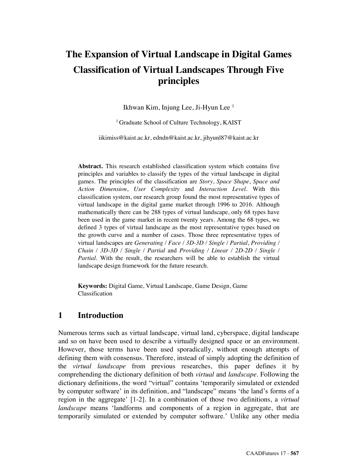# **The Expansion of Virtual Landscape in Digital Games Classification of Virtual Landscapes Through Five principles**

Ikhwan Kim, Injung Lee, Ji-Hyun Lee 1

<sup>1</sup> Graduate School of Culture Technology, KAIST

iikimiss@kaist.ac.kr, edndn@kaist.ac.kr, jihyunl87@kaist.ac.kr

**Abstract.** This research established classification system which contains five principles and variables to classify the types of the virtual landscape in digital games. The principles of the classification are *Story*, *Space Shape*, *Space and Action Dimension*, *User Complexity* and *Interaction Level*. With this classification system, our research group found the most representative types of virtual landscape in the digital game market through 1996 to 2016. Although mathematically there can be 288 types of virtual landscape, only 68 types have been used in the game market in recent twenty years. Among the 68 types, we defined 3 types of virtual landscape as the most representative types based on the growth curve and a number of cases. Those three representative types of virtual landscapes are *Generating / Face / 3D-3D / Single / Partial*, *Providing / Chain / 3D-3D / Single / Partial* and *Providing / Linear / 2D-2D / Single / Partial.* With the result, the researchers will be able to establish the virtual landscape design framework for the future research.

**Keywords:** Digital Game, Virtual Landscape, Game Design, Game Classification

# **1 Introduction**

Numerous terms such as virtual landscape, virtual land, cyberspace, digital landscape and so on have been used to describe a virtually designed space or an environment. However, those terms have been used sporadically, without enough attempts of defining them with consensus. Therefore, instead of simply adopting the definition of the *virtual landscape* from previous researches, this paper defines it by comprehending the dictionary definition of both *virtual* and *landscape*. Following the dictionary definitions, the word "virtual" contains 'temporarily simulated or extended by computer software' in its definition, and "landscape" means 'the land's forms of a region in the aggregate' [1-2]. In a combination of those two definitions, a *virtual landscape* means 'landforms and components of a region in aggregate, that are temporarily simulated or extended by computer software.' Unlike any other media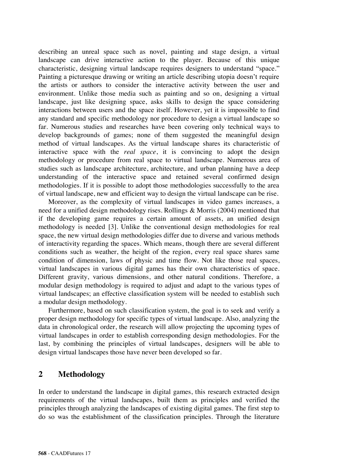describing an unreal space such as novel, painting and stage design, a virtual landscape can drive interactive action to the player. Because of this unique characteristic, designing virtual landscape requires designers to understand "space." Painting a picturesque drawing or writing an article describing utopia doesn't require the artists or authors to consider the interactive activity between the user and environment. Unlike those media such as painting and so on, designing a virtual landscape, just like designing space, asks skills to design the space considering interactions between users and the space itself. However, yet it is impossible to find any standard and specific methodology nor procedure to design a virtual landscape so far. Numerous studies and researches have been covering only technical ways to develop backgrounds of games; none of them suggested the meaningful design method of virtual landscapes. As the virtual landscape shares its characteristic of interactive space with the *real space*, it is convincing to adopt the design methodology or procedure from real space to virtual landscape. Numerous area of studies such as landscape architecture, architecture, and urban planning have a deep understanding of the interactive space and retained several confirmed design methodologies. If it is possible to adopt those methodologies successfully to the area of virtual landscape, new and efficient way to design the virtual landscape can be rise.

Moreover, as the complexity of virtual landscapes in video games increases, a need for a unified design methodology rises. Rollings & Morris (2004) mentioned that if the developing game requires a certain amount of assets, an unified design methodology is needed [3]. Unlike the conventional design methodologies for real space, the new virtual design methodologies differ due to diverse and various methods of interactivity regarding the spaces. Which means, though there are several different conditions such as weather, the height of the region, every real space shares same condition of dimension, laws of physic and time flow. Not like those real spaces, virtual landscapes in various digital games has their own characteristics of space. Different gravity, various dimensions, and other natural conditions. Therefore, a modular design methodology is required to adjust and adapt to the various types of virtual landscapes; an effective classification system will be needed to establish such a modular design methodology.

Furthermore, based on such classification system, the goal is to seek and verify a proper design methodology for specific types of virtual landscape. Also, analyzing the data in chronological order, the research will allow projecting the upcoming types of virtual landscapes in order to establish corresponding design methodologies. For the last, by combining the principles of virtual landscapes, designers will be able to design virtual landscapes those have never been developed so far.

### **2 Methodology**

In order to understand the landscape in digital games, this research extracted design requirements of the virtual landscapes, built them as principles and verified the principles through analyzing the landscapes of existing digital games. The first step to do so was the establishment of the classification principles. Through the literature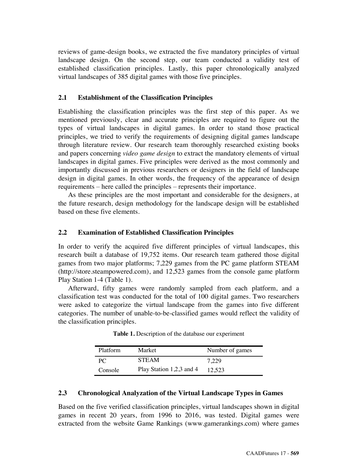reviews of game-design books, we extracted the five mandatory principles of virtual landscape design. On the second step, our team conducted a validity test of established classification principles. Lastly, this paper chronologically analyzed virtual landscapes of 385 digital games with those five principles.

### **2.1 Establishment of the Classification Principles**

Establishing the classification principles was the first step of this paper. As we mentioned previously, clear and accurate principles are required to figure out the types of virtual landscapes in digital games. In order to stand those practical principles, we tried to verify the requirements of designing digital games landscape through literature review. Our research team thoroughly researched existing books and papers concerning *video game design* to extract the mandatory elements of virtual landscapes in digital games. Five principles were derived as the most commonly and importantly discussed in previous researchers or designers in the field of landscape design in digital games. In other words, the frequency of the appearance of design requirements – here called the principles – represents their importance.

As these principles are the most important and considerable for the designers, at the future research, design methodology for the landscape design will be established based on these five elements.

### **2.2 Examination of Established Classification Principles**

In order to verify the acquired five different principles of virtual landscapes, this research built a database of 19,752 items. Our research team gathered those digital games from two major platforms; 7,229 games from the PC game platform STEAM (http://store.steampowered.com), and 12,523 games from the console game platform Play Station 1-4 (Table 1).

Afterward, fifty games were randomly sampled from each platform, and a classification test was conducted for the total of 100 digital games. Two researchers were asked to categorize the virtual landscape from the games into five different categories. The number of unable-to-be-classified games would reflect the validity of the classification principles.

| Platform | Market                   | Number of games |
|----------|--------------------------|-----------------|
| PC.      | <b>STEAM</b>             | 7.229           |
| Console  | Play Station 1,2,3 and 4 | 12.523          |

**Table 1.** Description of the database our experiment

#### **2.3 Chronological Analyzation of the Virtual Landscape Types in Games**

Based on the five verified classification principles, virtual landscapes shown in digital games in recent 20 years, from 1996 to 2016, was tested. Digital games were extracted from the website Game Rankings (www.gamerankings.com) where games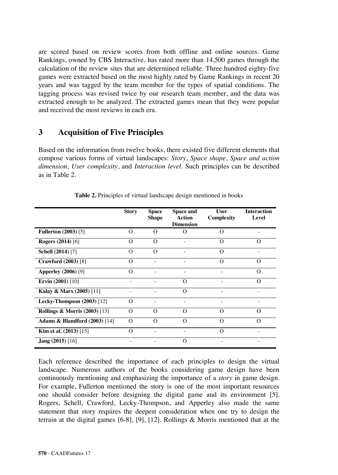are scored based on review scores from both offline and online sources. Game Rankings, owned by CBS Interactive, has rated more than 14,500 games through the calculation of the review sites that are determined reliable. Three hundred eighty-five games were extracted based on the most highly rated by Game Rankings in recent 20 years and was tagged by the team member for the types of spatial conditions. The tagging process was revised twice by our research team member, and the data was extracted enough to be analyzed. The extracted games mean that they were popular and received the most reviews in each era.

### **3 Acquisition of Five Principles**

Based on the information from twelve books, there existed five different elements that compose various forms of virtual landscapes: *Story*, *Space shape*, *Space and action dimension*, *User complexity*, and *Interaction level*. Such principles can be described as in Table 2.

|                                          | <b>Story</b> | <b>Space</b><br><b>Shape</b> | Space and<br>Action<br><b>Dimension</b> | User<br>Complexity | <b>Interaction</b><br>Level |
|------------------------------------------|--------------|------------------------------|-----------------------------------------|--------------------|-----------------------------|
| <b>Fullerton (2003)</b> [5]              | Ω            | $\Omega$                     | $\Omega$                                | $\Omega$           |                             |
| <b>Rogers (2014)</b> [6]                 | $\Omega$     | $\Omega$                     |                                         | $\Omega$           | $\Omega$                    |
| Schell (2014) [7]                        | $\Omega$     | $\Omega$                     |                                         | $\Omega$           |                             |
| <b>Crawford</b> (2003) [8]               | $\Omega$     |                              |                                         | $\Omega$           | Ω                           |
| <b>Apperley</b> (2006) [9]               | $\Omega$     |                              |                                         |                    | Ω                           |
| Ervin $(2001)$ [10]                      |              |                              | $\Omega$                                |                    | $\Omega$                    |
| Kalay & Marx (2005) [11]                 |              |                              | $\Omega$                                |                    |                             |
| Lecky-Thompson $(2003)$ [12]             | $\Omega$     |                              |                                         |                    |                             |
| <b>Rollings &amp; Morris (2003)</b> [13] | $\Omega$     | O                            | $\Omega$                                | $\Omega$           | Ω                           |
| <b>Adams &amp; Blandford (2003)</b> [14] | $\Omega$     | $\Omega$                     | $\Omega$                                | $\Omega$           | $\Omega$                    |
| Kim et al. $(2013)$ [15]                 | $\Omega$     |                              |                                         | $\Omega$           |                             |
| <b>Jang</b> $(2015)$ [16]                |              |                              | O                                       |                    |                             |

**Table 2.** Principles of virtual landscape design mentioned in books

Each reference described the importance of each principles to design the virtual landscape. Numerous authors of the books considering game design have been continuously mentioning and emphasizing the importance of a *story* in game design. For example, Fullerton mentioned the story is one of the most important resources one should consider before designing the digital game and its environment [5]. Rogers, Schell, Crawford, Lecky-Thompson, and Apperley also made the same statement that story requires the deepest consideration when one try to design the terrain at the digital games [6-8], [9], [12]. Rollings & Morris mentioned that at the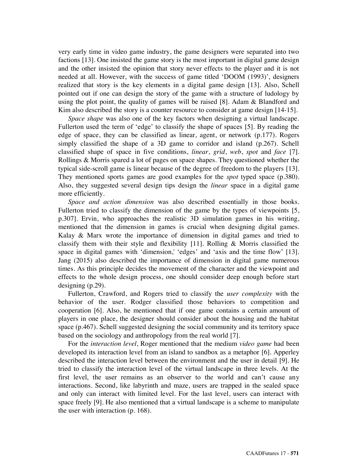very early time in video game industry, the game designers were separated into two factions [13]. One insisted the game story is the most important in digital game design and the other insisted the opinion that story never effects to the player and it is not needed at all. However, with the success of game titled 'DOOM (1993)', designers realized that story is the key elements in a digital game design [13]. Also, Schell pointed out if one can design the story of the game with a structure of ludology by using the plot point, the quality of games will be raised  $[8]$ . Adam  $\&$  Blandford and Kim also described the story is a counter resource to consider at game design [14-15].

*Space shape* was also one of the key factors when designing a virtual landscape. Fullerton used the term of 'edge' to classify the shape of spaces [5]. By reading the edge of space, they can be classified as linear, agent, or network (p.177). Rogers simply classified the shape of a 3D game to corridor and island (p.267). Schell classified shape of space in five conditions, *linear*, *grid*, *web*, *spot* and *face* [7]. Rollings & Morris spared a lot of pages on space shapes. They questioned whether the typical side-scroll game is linear because of the degree of freedom to the players [13]. They mentioned sports games are good examples for the *spot* typed space (p.380). Also, they suggested several design tips design the *linear* space in a digital game more efficiently.

*Space and action dimension* was also described essentially in those books. Fullerton tried to classify the dimension of the game by the types of viewpoints [5, p.307]. Ervin, who approaches the realistic 3D simulation games in his writing, mentioned that the dimension in games is crucial when designing digital games. Kalay & Marx wrote the importance of dimension in digital games and tried to classify them with their style and flexibility [11]. Rolling & Morris classified the space in digital games with 'dimension,' 'edges' and 'axis and the time flow' [13]. Jang (2015) also described the importance of dimension in digital game numerous times. As this principle decides the movement of the character and the viewpoint and effects to the whole design process, one should consider deep enough before start designing (p.29).

Fullerton, Crawford, and Rogers tried to classify the *user complexity* with the behavior of the user. Rodger classified those behaviors to competition and cooperation [6]. Also, he mentioned that if one game contains a certain amount of players in one place, the designer should consider about the housing and the habitat space (p.467). Schell suggested designing the social community and its territory space based on the sociology and anthropology from the real world [7].

For the *interaction level*, Roger mentioned that the medium *video game* had been developed its interaction level from an island to sandbox as a metaphor [6]. Apperley described the interaction level between the environment and the user in detail [9]. He tried to classify the interaction level of the virtual landscape in three levels. At the first level, the user remains as an observer to the world and can't cause any interactions. Second, like labyrinth and maze, users are trapped in the sealed space and only can interact with limited level. For the last level, users can interact with space freely [9]. He also mentioned that a virtual landscape is a scheme to manipulate the user with interaction (p. 168).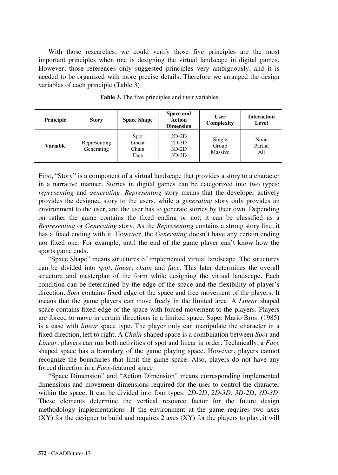With those researches, we could verify those five principles are the most important principles when one is designing the virtual landscape in digital games. However, those references only suggested principles very ambiguously, and it is needed to be organized with more precise details. Therefore we arranged the design variables of each principle (Table 3).

| Principle | <b>Story</b>               | <b>Space Shape</b>              | Space and<br>Action<br><b>Dimension</b>  | User<br>Complexity         | <b>Interaction</b><br>Level |
|-----------|----------------------------|---------------------------------|------------------------------------------|----------------------------|-----------------------------|
| Variable  | Representing<br>Generating | Spot<br>Linear<br>Chain<br>Face | $2D-2D$<br>$2D-3D$<br>$3D-2D$<br>$3D-3D$ | Single<br>Group<br>Massive | None<br>Partial<br>All      |

**Table 3.** The five principles and their variables

First, "Story" is a component of a virtual landscape that provides a story to a character in a narrative manner. Stories in digital games can be categorized into two types: *representing* and *generating*. *Representing* story means that the developer actively provides the designed story to the users, while a *generating* story only provides an environment to the user, and the user has to generate stories by their own. Depending on rather the game contains the fixed ending or not; it can be classified as a *Representing* or *Generating* story. As the *Representing* contains a strong story line, it has a fixed ending with it. However, the *Generating* doesn't have any certain ending nor fixed one. For example, until the end of the game player can't know how the sports game ends.

"Space Shape" means structures of implemented virtual landscape. The structures can be divided into *spot*, *linear*, *chain* and *face*. This later determines the overall structure and masterplan of the form while designing the virtual landscape. Each condition can be determined by the edge of the space and the flexibility of player's direction. *Spot* contains fixed edge of the space and free movement of the players. It means that the game players can move freely in the limited area. A *Linear* shaped space contains fixed edge of the space with forced movement to the players. Players are forced to move in certain directions in a limited space. Super Mario Bros. (1985) is a case with *linear* space type. The player only can manipulate the character in a fixed direction, left to right. A *Chain*-shaped space is a combination between *Spot* and *Linear*; players can run both activities of spot and linear in order. Technically, a *Face* shaped space has a boundary of the game playing space. However, players cannot recognize the boundaries that limit the game space. Also, players do not have any forced direction in a *Face*-featured space.

"Space Dimension" and "Action Dimension" means corresponding implemented dimensions and movement dimensions required for the user to control the character within the space. It can be divided into four types: *2D-2D*, *2D-3D*, *3D-2D*, *3D-3D*. These elements determine the vertical resource factor for the future design methodology implementations. If the environment at the game requires two axes  $(XY)$  for the designer to build and requires 2 axes  $(XY)$  for the players to play, it will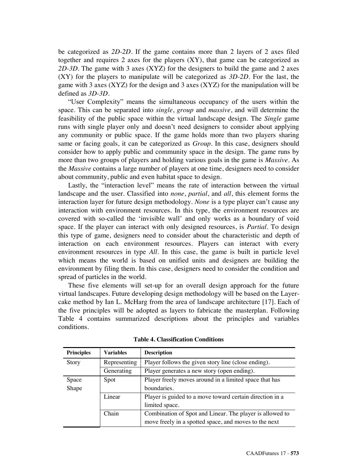be categorized as *2D-2D*. If the game contains more than 2 layers of 2 axes filed together and requires 2 axes for the players  $(XY)$ , that game can be categorized as *2D-3D*. The game with 3 axes (XYZ) for the designers to build the game and 2 axes (XY) for the players to manipulate will be categorized as *3D-2D*. For the last, the game with 3 axes (XYZ) for the design and 3 axes (XYZ) for the manipulation will be defined as *3D-3D*.

"User Complexity" means the simultaneous occupancy of the users within the space. This can be separated into *single*, *group* and *massive*, and will determine the feasibility of the public space within the virtual landscape design. The *Single* game runs with single player only and doesn't need designers to consider about applying any community or public space. If the game holds more than two players sharing same or facing goals, it can be categorized as *Group*. In this case, designers should consider how to apply public and community space in the design. The game runs by more than two groups of players and holding various goals in the game is *Massive*. As the *Massive* contains a large number of players at one time, designers need to consider about community, public and even habitat space to design.

Lastly, the "interaction level" means the rate of interaction between the virtual landscape and the user. Classified into *none*, *partial*, and *all*, this element forms the interaction layer for future design methodology. *None* is a type player can't cause any interaction with environment resources. In this type, the environment resources are covered with so-called the 'invisible wall' and only works as a boundary of void space. If the player can interact with only designed resources, is *Partial*. To design this type of game, designers need to consider about the characteristic and depth of interaction on each environment resources. Players can interact with every environment resources in type *All*. In this case, the game is built in particle level which means the world is based on unified units and designers are building the environment by filing them. In this case, designers need to consider the condition and spread of particles in the world.

These five elements will set-up for an overall design approach for the future virtual landscapes. Future developing design methodology will be based on the Layercake method by Ian L. McHarg from the area of landscape architecture [17]. Each of the five principles will be adopted as layers to fabricate the masterplan. Following Table 4 contains summarized descriptions about the principles and variables conditions.

| <b>Principles</b> | <b>Variables</b> | <b>Description</b>                                       |  |  |
|-------------------|------------------|----------------------------------------------------------|--|--|
| <b>Story</b>      | Representing     | Player follows the given story line (close ending).      |  |  |
|                   | Generating       | Player generates a new story (open ending).              |  |  |
| Space             | Spot             | Player freely moves around in a limited space that has   |  |  |
| Shape             |                  | boundaries.                                              |  |  |
|                   | Linear           | Player is guided to a move toward certain direction in a |  |  |
|                   |                  | limited space.                                           |  |  |
|                   | Chain            | Combination of Spot and Linear. The player is allowed to |  |  |
|                   |                  | move freely in a spotted space, and moves to the next    |  |  |

**Table 4. Classification Conditions**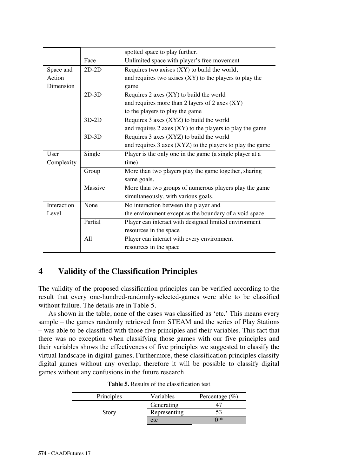|             |         | spotted space to play further.                                |  |  |  |
|-------------|---------|---------------------------------------------------------------|--|--|--|
|             | Face    | Unlimited space with player's free movement                   |  |  |  |
| Space and   | $2D-2D$ | Requires two axises (XY) to build the world,                  |  |  |  |
| Action      |         | and requires two axises $(XY)$ to the players to play the     |  |  |  |
| Dimension   |         | game                                                          |  |  |  |
|             | $2D-3D$ | Requires $2$ axes $(XY)$ to build the world                   |  |  |  |
|             |         | and requires more than 2 layers of 2 axes (XY)                |  |  |  |
|             |         | to the players to play the game                               |  |  |  |
|             | $3D-2D$ | Requires 3 axes (XYZ) to build the world                      |  |  |  |
|             |         | and requires $2$ axes $(XY)$ to the players to play the game  |  |  |  |
|             | $3D-3D$ | Requires 3 axes (XYZ) to build the world                      |  |  |  |
|             |         | and requires $3$ axes $(XYZ)$ to the players to play the game |  |  |  |
| User        | Single  | Player is the only one in the game (a single player at a      |  |  |  |
| Complexity  |         | time)                                                         |  |  |  |
|             | Group   | More than two players play the game together, sharing         |  |  |  |
|             |         | same goals.                                                   |  |  |  |
|             | Massive | More than two groups of numerous players play the game        |  |  |  |
|             |         | simultaneously, with various goals.                           |  |  |  |
| Interaction | None    | No interaction between the player and                         |  |  |  |
| Level       |         | the environment except as the boundary of a void space        |  |  |  |
|             | Partial | Player can interact with designed limited environment         |  |  |  |
|             |         | resources in the space                                        |  |  |  |
|             | A11     | Player can interact with every environment                    |  |  |  |
|             |         | resources in the space                                        |  |  |  |

# **4 Validity of the Classification Principles**

The validity of the proposed classification principles can be verified according to the result that every one-hundred-randomly-selected-games were able to be classified without failure. The details are in Table 5.

As shown in the table, none of the cases was classified as 'etc.' This means every sample – the games randomly retrieved from STEAM and the series of Play Stations – was able to be classified with those five principles and their variables. This fact that there was no exception when classifying those games with our five principles and their variables shows the effectiveness of five principles we suggested to classify the virtual landscape in digital games. Furthermore, these classification principles classify digital games without any overlap, therefore it will be possible to classify digital games without any confusions in the future research.

| Principles | Variables    | Percentage $(\% )$ |  |
|------------|--------------|--------------------|--|
|            | Generating   |                    |  |
| Story      | Representing |                    |  |
|            | etc          | *                  |  |

**Table 5.** Results of the classification test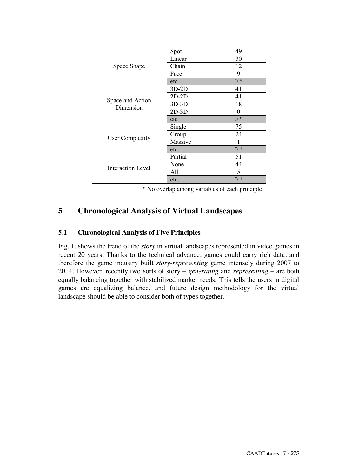|                               | Spot        | 49          |
|-------------------------------|-------------|-------------|
|                               | Linear      | 30          |
| Space Shape                   | Chain       | 12          |
|                               | Face        | 9           |
|                               | etc         | $0 *$       |
|                               | $3D-2D$     | 41          |
|                               | $2D-2D$     | 41          |
| Space and Action<br>Dimension | $3D-3D$     | 18          |
|                               | $2D-3D$     | 0           |
|                               | etc         | $0 *$       |
|                               | Single      | 75          |
|                               | 24<br>Group |             |
| <b>User Complexity</b>        | Massive     |             |
|                               | etc.        | $0 *$       |
|                               | Partial     | 51          |
| Interaction Level             | None        | 44          |
|                               | All         | 5           |
|                               | etc.        | $\ast$<br>0 |

\* No overlap among variables of each principle

# **5 Chronological Analysis of Virtual Landscapes**

### **5.1 Chronological Analysis of Five Principles**

Fig. 1. shows the trend of the *story* in virtual landscapes represented in video games in recent 20 years. Thanks to the technical advance, games could carry rich data, and therefore the game industry built *story-representing* game intensely during 2007 to 2014. However, recently two sorts of story – *generating* and *representing* – are both equally balancing together with stabilized market needs. This tells the users in digital games are equalizing balance, and future design methodology for the virtual landscape should be able to consider both of types together.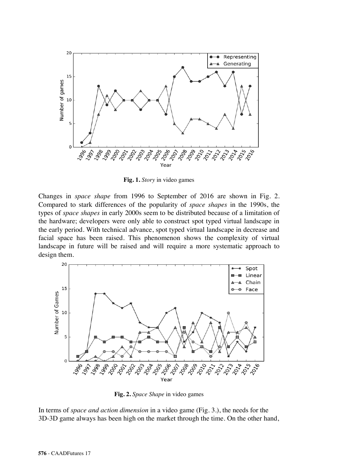

**Fig. 1.** *Story* in video games

Changes in *space shape* from 1996 to September of 2016 are shown in Fig. 2. Compared to stark differences of the popularity of *space shapes* in the 1990s, the types of *space shapes* in early 2000s seem to be distributed because of a limitation of the hardware; developers were only able to construct spot typed virtual landscape in the early period. With technical advance, spot typed virtual landscape in decrease and facial space has been raised. This phenomenon shows the complexity of virtual landscape in future will be raised and will require a more systematic approach to design them.



**Fig. 2.** *Space Shape* in video games

In terms of *space and action dimension* in a video game (Fig. 3.), the needs for the 3D-3D game always has been high on the market through the time. On the other hand,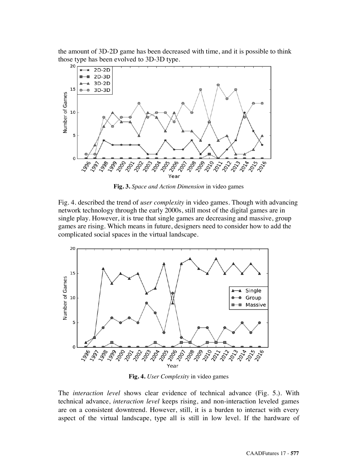the amount of 3D-2D game has been decreased with time, and it is possible to think those type has been evolved to  $3D-3D$  type.



**Fig. 3.** *Space and Action Dimension* in video games

Fig. 4. described the trend of *user complexity* in video games. Though with advancing network technology through the early 2000s, still most of the digital games are in single play. However, it is true that single games are decreasing and massive, group games are rising. Which means in future, designers need to consider how to add the complicated social spaces in the virtual landscape.



**Fig. 4.** *User Complexity* in video games

The *interaction level* shows clear evidence of technical advance (Fig. 5.). With technical advance, *interaction level* keeps rising, and non-interaction leveled games are on a consistent downtrend. However, still, it is a burden to interact with every aspect of the virtual landscape, type all is still in low level. If the hardware of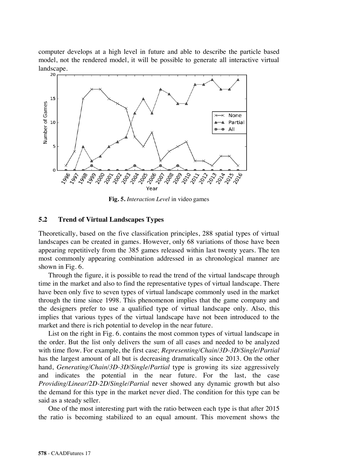computer develops at a high level in future and able to describe the particle based model, not the rendered model, it will be possible to generate all interactive virtual  $\frac{\text{landscope}}{\text{20}}$ .



**Fig. 5.** *Interaction Level* in video games

#### **5.2 Trend of Virtual Landscapes Types**

Theoretically, based on the five classification principles, 288 spatial types of virtual landscapes can be created in games. However, only 68 variations of those have been appearing repetitively from the 385 games released within last twenty years. The ten most commonly appearing combination addressed in as chronological manner are shown in Fig. 6.

Through the figure, it is possible to read the trend of the virtual landscape through time in the market and also to find the representative types of virtual landscape. There have been only five to seven types of virtual landscape commonly used in the market through the time since 1998. This phenomenon implies that the game company and the designers prefer to use a qualified type of virtual landscape only. Also, this implies that various types of the virtual landscape have not been introduced to the market and there is rich potential to develop in the near future.

List on the right in Fig. 6. contains the most common types of virtual landscape in the order. But the list only delivers the sum of all cases and needed to be analyzed with time flow. For example, the first case; *Representing/Chain/3D-3D/Single/Partial* has the largest amount of all but is decreasing dramatically since 2013. On the other hand, *Generating/Chain/3D-3D/Single/Partial* type is growing its size aggressively and indicates the potential in the near future. For the last, the case *Providing/Linear/2D-2D/Single/Partial* never showed any dynamic growth but also the demand for this type in the market never died. The condition for this type can be said as a steady seller.

One of the most interesting part with the ratio between each type is that after 2015 the ratio is becoming stabilized to an equal amount. This movement shows the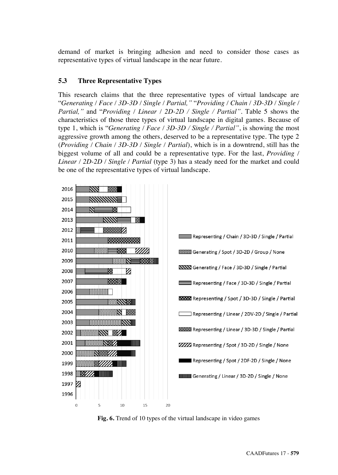demand of market is bringing adhesion and need to consider those cases as representative types of virtual landscape in the near future.

### **5.3 Three Representative Types**

This research claims that the three representative types of virtual landscape are "*Generating / Face / 3D-3D / Single / Partial,"* "*Providing / Chain / 3D-3D / Single / Partial,"* and "*Providing / Linear / 2D-2D / Single / Partial"*. Table 5 shows the characteristics of those three types of virtual landscape in digital games. Because of type 1, which is "*Generating / Face / 3D-3D / Single / Partial"*, is showing the most aggressive growth among the others, deserved to be a representative type. The type 2 (*Providing / Chain / 3D-3D / Single / Partial*), which is in a downtrend, still has the biggest volume of all and could be a representative type. For the last, *Providing / Linear / 2D-2D / Single / Partial* (type 3) has a steady need for the market and could be one of the representative types of virtual landscape.



**Fig. 6.** Trend of 10 types of the virtual landscape in video games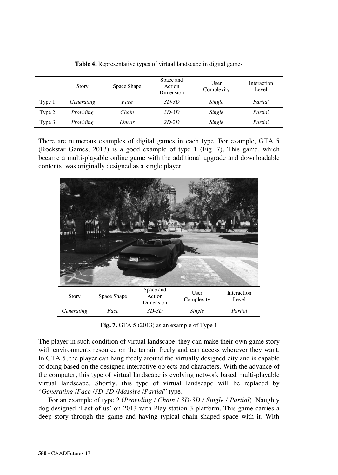|        | Story             | Space Shape | Space and<br>Action<br>Dimension | User<br>Complexity | Interaction<br>Level |
|--------|-------------------|-------------|----------------------------------|--------------------|----------------------|
| Type 1 | <i>Generating</i> | Face        | $3D-3D$                          | Single             | Partial              |
| Type 2 | Providing         | Chain       | $3D-3D$                          | Single             | Partial              |
| Type 3 | Providing         | Linear      | 2D-2D                            | Single             | Partial              |

**Table 4.** Representative types of virtual landscape in digital games

There are numerous examples of digital games in each type. For example, GTA 5 (Rockstar Games, 2013) is a good example of type 1 (Fig. 7). This game, which became a multi-playable online game with the additional upgrade and downloadable contents, was originally designed as a single player.



**Fig. 7.** GTA 5 (2013) as an example of Type 1

The player in such condition of virtual landscape, they can make their own game story with environments resource on the terrain freely and can access wherever they want. In GTA 5, the player can hang freely around the virtually designed city and is capable of doing based on the designed interactive objects and characters. With the advance of the computer, this type of virtual landscape is evolving network based multi-playable virtual landscape. Shortly, this type of virtual landscape will be replaced by "*Generating* /*Face* /*3D-3D* /*Massive* /*Partial*" type.

For an example of type 2 (*Providing / Chain / 3D-3D / Single / Partial*), Naughty dog designed 'Last of us' on 2013 with Play station 3 platform. This game carries a deep story through the game and having typical chain shaped space with it. With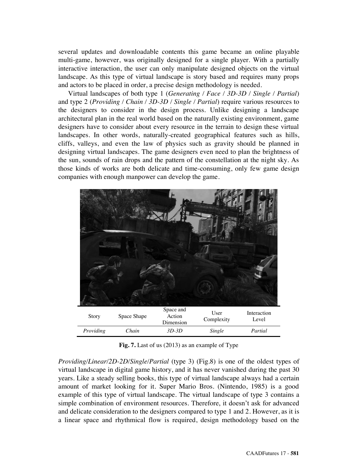several updates and downloadable contents this game became an online playable multi-game, however, was originally designed for a single player. With a partially interactive interaction, the user can only manipulate designed objects on the virtual landscape. As this type of virtual landscape is story based and requires many props and actors to be placed in order, a precise design methodology is needed.

Virtual landscapes of both type 1 (*Generating / Face / 3D-3D / Single / Partial*) and type 2 (*Providing / Chain / 3D-3D / Single / Partial*) require various resources to the designers to consider in the design process. Unlike designing a landscape architectural plan in the real world based on the naturally existing environment, game designers have to consider about every resource in the terrain to design these virtual landscapes. In other words, naturally-created geographical features such as hills, cliffs, valleys, and even the law of physics such as gravity should be planned in designing virtual landscapes. The game designers even need to plan the brightness of the sun, sounds of rain drops and the pattern of the constellation at the night sky. As those kinds of works are both delicate and time-consuming, only few game design companies with enough manpower can develop the game.



**Fig. 7.** Last of us (2013) as an example of Type

*Providing/Linear/2D-2D/Single/Partial* (type 3) (Fig.8) is one of the oldest types of virtual landscape in digital game history, and it has never vanished during the past 30 years. Like a steady selling books, this type of virtual landscape always had a certain amount of market looking for it. Super Mario Bros. (Nintendo, 1985) is a good example of this type of virtual landscape. The virtual landscape of type 3 contains a simple combination of environment resources. Therefore, it doesn't ask for advanced and delicate consideration to the designers compared to type 1 and 2. However, as it is a linear space and rhythmical flow is required, design methodology based on the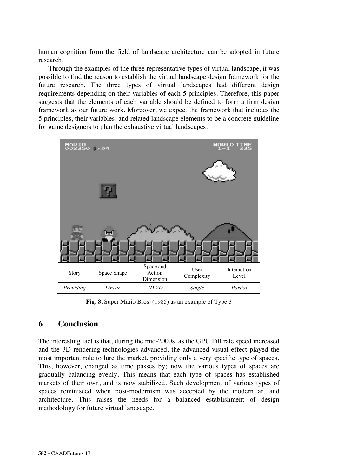human cognition from the field of landscape architecture can be adopted in future research.

Through the examples of the three representative types of virtual landscape, it was possible to find the reason to establish the virtual landscape design framework for the future research. The three types of virtual landscapes had different design requirements depending on their variables of each 5 principles. Therefore, this paper suggests that the elements of each variable should be defined to form a firm design framework as our future work. Moreover, we expect the framework that includes the 5 principles, their variables, and related landscape elements to be a concrete guideline for game designers to plan the exhaustive virtual landscapes.



**Fig. 8.** Super Mario Bros. (1985) as an example of Type 3

### **6 Conclusion**

The interesting fact is that, during the mid-2000s, as the GPU Fill rate speed increased and the 3D rendering technologies advanced, the advanced visual effect played the most important role to lure the market, providing only a very specific type of spaces. This, however, changed as time passes by; now the various types of spaces are gradually balancing evenly. This means that each type of spaces has established markets of their own, and is now stabilized. Such development of various types of spaces reminisced when post-modernism was accepted by the modern art and architecture. This raises the needs for a balanced establishment of design methodology for future virtual landscape.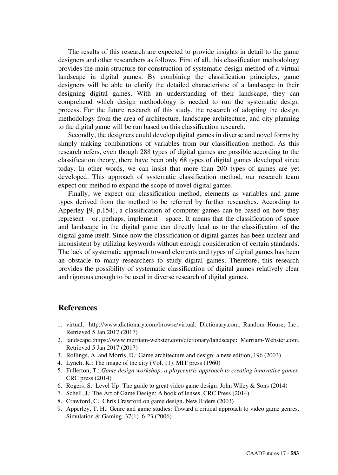The results of this research are expected to provide insights in detail to the game designers and other researchers as follows. First of all, this classification methodology provides the main structure for construction of systematic design method of a virtual landscape in digital games. By combining the classification principles, game designers will be able to clarify the detailed characteristic of a landscape in their designing digital games. With an understanding of their landscape, they can comprehend which design methodology is needed to run the systematic design process. For the future research of this study, the research of adopting the design methodology from the area of architecture, landscape architecture, and city planning to the digital game will be run based on this classification research.

Secondly, the designers could develop digital games in diverse and novel forms by simply making combinations of variables from our classification method. As this research refers, even though 288 types of digital games are possible according to the classification theory, there have been only 68 types of digital games developed since today. In other words, we can insist that more than 200 types of games are yet developed. This approach of systematic classification method, our research team expect our method to expand the scope of novel digital games.

Finally, we expect our classification method, elements as variables and game types derived from the method to be referred by further researches. According to Apperley [9, p.154], a classification of computer games can be based on how they represent – or, perhaps, implement – space. It means that the classification of space and landscape in the digital game can directly lead us to the classification of the digital game itself. Since now the classification of digital games has been unclear and inconsistent by utilizing keywords without enough consideration of certain standards. The lack of systematic approach toward elements and types of digital games has been an obstacle to many researchers to study digital games. Therefore, this research provides the possibility of systematic classification of digital games relatively clear and rigorous enough to be used in diverse research of digital games.

### **References**

- 1. virtual.: http://www.dictionary.com/browse/virtual: Dictionary.com, Random House, Inc., Retrieved 5 Jan 2017 (2017)
- 2. landscape.:https://www.merriam-webster.com/dictionary/landscape: Merriam-Webster.com, Retrieved 5 Jan 2017 (2017)
- 3. Rollings, A. and Morris, D.: Game architecture and design: a new edition, 196 (2003)
- 4. Lynch, K.: The image of the city (Vol. 11). MIT press (1960)
- 5. Fullerton, T.: *Game design workshop: a playcentric approach to creating innovative games*. CRC press (2014)
- 6. Rogers, S.: Level Up! The guide to great video game design. John Wiley & Sons (2014)
- 7. Schell, J.: The Art of Game Design: A book of lenses. CRC Press (2014)
- 8. Crawford, C.: Chris Crawford on game design. New Riders (2003)
- 9. Apperley, T. H.: Genre and game studies: Toward a critical approach to video game genres. Simulation & Gaming, 37(1), 6-23 (2006)